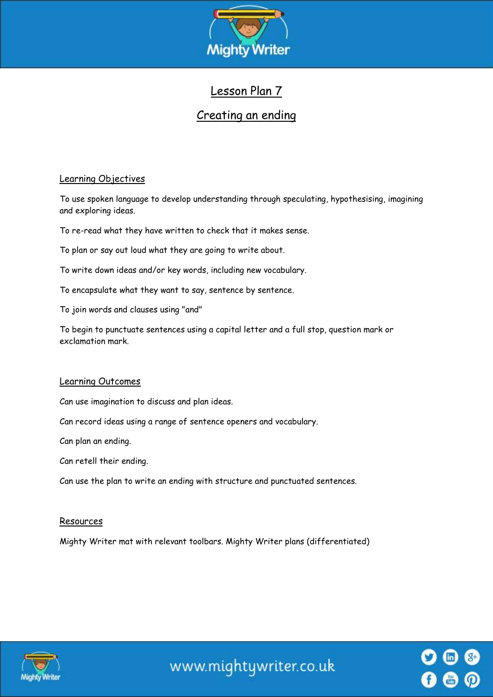

# Lesson Plan 7

## Creating an ending

### Learning Objectives

To use spoken language to develop understanding through speculating, hypothesising, imagining and exploring ideas.

To re-read what they have written to check that it makes sense.

To plan or say out loud what they are going to write about.

To write down ideas and/or key words, including new vocabulary.

To encapsulate what they want to say, sentence by sentence.

To join words and clauses using "and"

To begin to punctuate sentences using a capital letter and a full stop, question mark or exclamation mark.

#### Learning Outcomes

Can use imagination to discuss and plan ideas.

Can record ideas using a range of sentence openers and vocabulary.

Can plan an ending.

Can retell their ending.

Can use the plan to write an ending with structure and punctuated sentences.

#### Resources

Mighty Writer mat with relevant toolbars. Mighty Writer plans (differentiated)



www.mightywriter.co.uk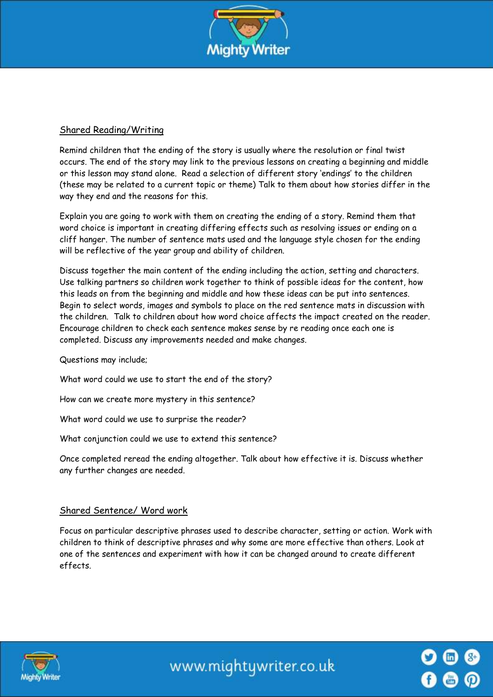

## Shared Reading/Writing

Remind children that the ending of the story is usually where the resolution or final twist occurs. The end of the story may link to the previous lessons on creating a beginning and middle or this lesson may stand alone. Read a selection of different story 'endings' to the children (these may be related to a current topic or theme) Talk to them about how stories differ in the way they end and the reasons for this.

Explain you are going to work with them on creating the ending of a story. Remind them that word choice is important in creating differing effects such as resolving issues or ending on a cliff hanger. The number of sentence mats used and the language style chosen for the ending will be reflective of the year group and ability of children.

Discuss together the main content of the ending including the action, setting and characters. Use talking partners so children work together to think of possible ideas for the content, how this leads on from the beginning and middle and how these ideas can be put into sentences. Begin to select words, images and symbols to place on the red sentence mats in discussion with the children. Talk to children about how word choice affects the impact created on the reader. Encourage children to check each sentence makes sense by re reading once each one is completed. Discuss any improvements needed and make changes.

Questions may include;

What word could we use to start the end of the story?

How can we create more mystery in this sentence?

What word could we use to surprise the reader?

What conjunction could we use to extend this sentence?

Once completed reread the ending altogether. Talk about how effective it is. Discuss whether any further changes are needed.

#### Shared Sentence/ Word work

Focus on particular descriptive phrases used to describe character, setting or action. Work with children to think of descriptive phrases and why some are more effective than others. Look at one of the sentences and experiment with how it can be changed around to create different effects.



www.mightywriter.co.uk